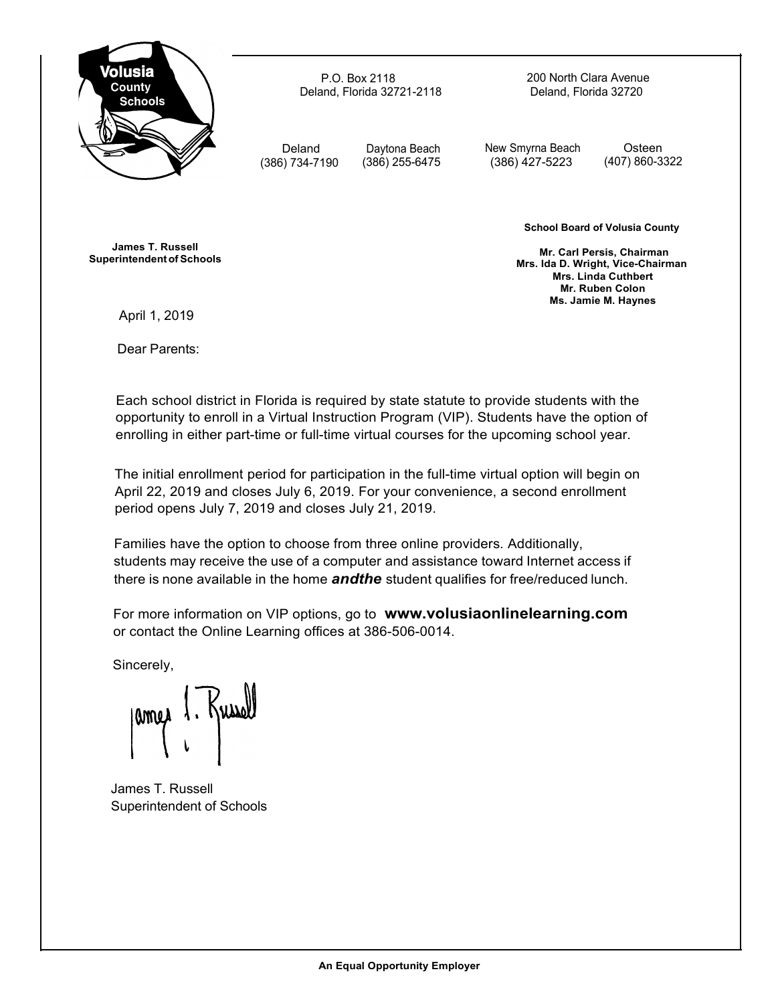

P.O. Box 2118 Deland, Florida 32721-2118 200 North Clara Avenue Deland, Florida 32720

Deland (386) 734-7190

Daytona Beach (386) 255-6475

New Smyrna Beach (386) 427-5223

Osteen (407) 860-3322

**James T. Russell Superintendentof Schools** **School Board of Volusia County**

**Mr. Carl Persis, Chairman Mrs. Ida D. Wright, Vice-Chairman Mrs. Linda Cuthbert Mr. Ruben Colon Ms. Jamie M. Haynes**

April 1, 2019

Dear Parents:

Each school district in Florida is required by state statute to provide students with the opportunity to enroll in a Virtual Instruction Program (VIP). Students have the option of enrolling in either part-time or full-time virtual courses for the upcoming school year.

The initial enrollment period for participation in the full-time virtual option will begin on April 22, 2019 and closes July 6, 2019. For your convenience, a second enrollment period opens July 7, 2019 and closes July 21, 2019.

Families have the option to choose from three online providers. Additionally, students may receive the use of a computer and assistance toward Internet access if there is none available in the home *andthe* student qualifies for free/reduced lunch.

For more information on VIP options, go to **[www.volusiaonlinelearning.com](http://www.volusiaonlinelearning.com/)** or contact the Online Learning offices at 386-506-0014.

Sincerely,

. Kussel amed

James T. Russell Superintendent of Schools